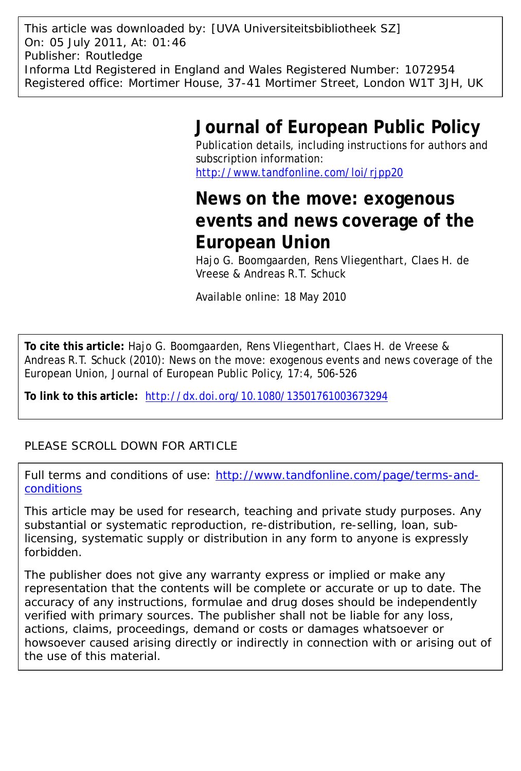This article was downloaded by: [UVA Universiteitsbibliotheek SZ] On: 05 July 2011, At: 01:46 Publisher: Routledge Informa Ltd Registered in England and Wales Registered Number: 1072954 Registered office: Mortimer House, 37-41 Mortimer Street, London W1T 3JH, UK

## **Journal of European Public Policy**

Publication details, including instructions for authors and subscription information: <http://www.tandfonline.com/loi/rjpp20>

## **News on the move: exogenous events and news coverage of the European Union**

Hajo G. Boomgaarden, Rens Vliegenthart, Claes H. de Vreese & Andreas R.T. Schuck

Available online: 18 May 2010

**To cite this article:** Hajo G. Boomgaarden, Rens Vliegenthart, Claes H. de Vreese & Andreas R.T. Schuck (2010): News on the move: exogenous events and news coverage of the European Union, Journal of European Public Policy, 17:4, 506-526

**To link to this article:** <http://dx.doi.org/10.1080/13501761003673294>

### PLEASE SCROLL DOWN FOR ARTICLE

Full terms and conditions of use: [http://www.tandfonline.com/page/terms-and](http://www.tandfonline.com/page/terms-and-conditions)[conditions](http://www.tandfonline.com/page/terms-and-conditions)

This article may be used for research, teaching and private study purposes. Any substantial or systematic reproduction, re-distribution, re-selling, loan, sublicensing, systematic supply or distribution in any form to anyone is expressly forbidden.

The publisher does not give any warranty express or implied or make any representation that the contents will be complete or accurate or up to date. The accuracy of any instructions, formulae and drug doses should be independently verified with primary sources. The publisher shall not be liable for any loss, actions, claims, proceedings, demand or costs or damages whatsoever or howsoever caused arising directly or indirectly in connection with or arising out of the use of this material.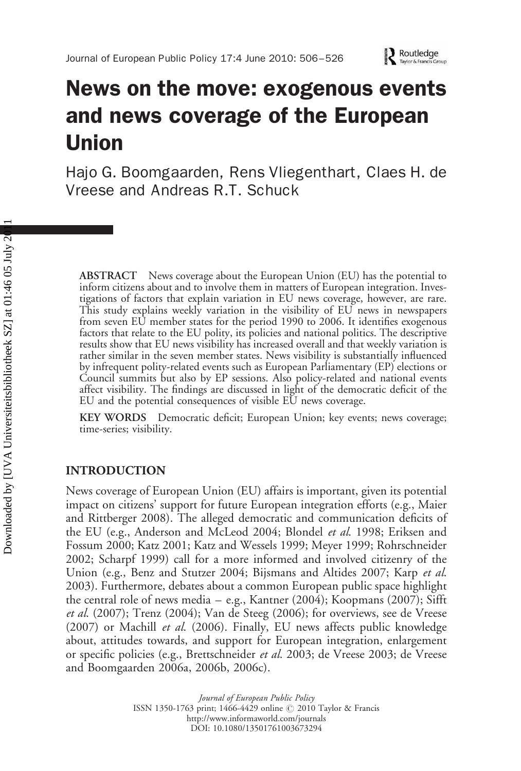# News on the move: exogenous events and news coverage of the European Union

Hajo G. Boomgaarden, Rens Vliegenthart, Claes H. de Vreese and Andreas R.T. Schuck

ABSTRACT News coverage about the European Union (EU) has the potential to inform citizens about and to involve them in matters of European integration. Investigations of factors that explain variation in EU news coverage, however, are rare. This study explains weekly variation in the visibility of EU news in newspapers from seven EU member states for the period 1990 to 2006. It identifies exogenous factors that relate to the EU polity, its policies and national politics. The descriptive results show that EU news visibility has increased overall and that weekly variation is rather similar in the seven member states. News visibility is substantially influenced by infrequent polity-related events such as European Parliamentary (EP) elections or Council summits but also by EP sessions. Also policy-related and national events affect visibility. The findings are discussed in light of the democratic deficit of the EU and the potential consequences of visible EU news coverage.

KEY WORDS Democratic deficit; European Union; key events; news coverage; time-series; visibility.

#### INTRODUCTION

News coverage of European Union (EU) affairs is important, given its potential impact on citizens' support for future European integration efforts (e.g., Maier and Rittberger 2008). The alleged democratic and communication deficits of the EU (e.g., Anderson and McLeod 2004; Blondel et al. 1998; Eriksen and Fossum 2000; Katz 2001; Katz and Wessels 1999; Meyer 1999; Rohrschneider 2002; Scharpf 1999) call for a more informed and involved citizenry of the Union (e.g., Benz and Stutzer 2004; Bijsmans and Altides 2007; Karp et al. 2003). Furthermore, debates about a common European public space highlight the central role of news media – e.g., Kantner (2004); Koopmans (2007); Sifft et al. (2007); Trenz (2004); Van de Steeg (2006); for overviews, see de Vreese (2007) or Machill et al. (2006). Finally, EU news affects public knowledge about, attitudes towards, and support for European integration, enlargement or specific policies (e.g., Brettschneider et al. 2003; de Vreese 2003; de Vreese and Boomgaarden 2006a, 2006b, 2006c).

> Journal of European Public Policy ISSN 1350-1763 print; 1466-4429 online © 2010 Taylor & Francis http://www.informaworld.com/journals DOI: 10.1080/13501761003673294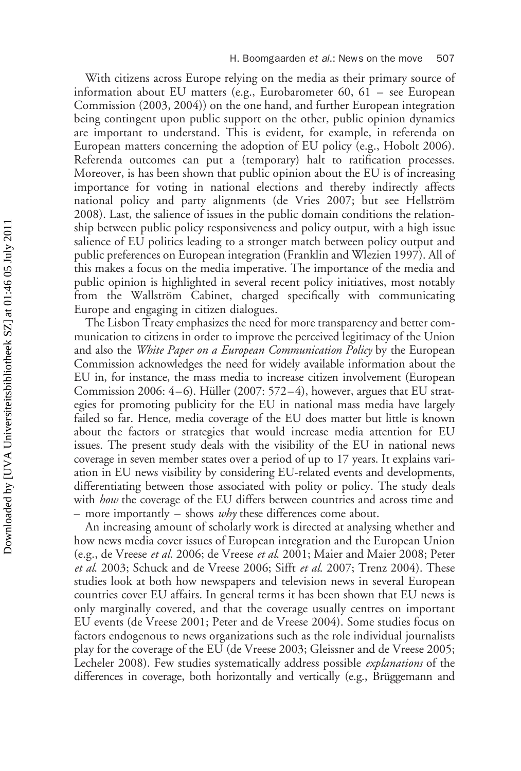With citizens across Europe relying on the media as their primary source of information about EU matters (e.g., Eurobarometer 60, 61 – see European Commission (2003, 2004)) on the one hand, and further European integration being contingent upon public support on the other, public opinion dynamics are important to understand. This is evident, for example, in referenda on European matters concerning the adoption of EU policy (e.g., Hobolt 2006). Referenda outcomes can put a (temporary) halt to ratification processes. Moreover, is has been shown that public opinion about the EU is of increasing importance for voting in national elections and thereby indirectly affects national policy and party alignments (de Vries 2007; but see Hellström 2008). Last, the salience of issues in the public domain conditions the relationship between public policy responsiveness and policy output, with a high issue salience of EU politics leading to a stronger match between policy output and public preferences on European integration (Franklin and Wlezien 1997). All of this makes a focus on the media imperative. The importance of the media and public opinion is highlighted in several recent policy initiatives, most notably from the Wallström Cabinet, charged specifically with communicating Europe and engaging in citizen dialogues.

The Lisbon Treaty emphasizes the need for more transparency and better communication to citizens in order to improve the perceived legitimacy of the Union and also the White Paper on a European Communication Policy by the European Commission acknowledges the need for widely available information about the EU in, for instance, the mass media to increase citizen involvement (European Commission 2006:  $4-6$ ). Hüller (2007: 572–4), however, argues that EU strategies for promoting publicity for the EU in national mass media have largely failed so far. Hence, media coverage of the EU does matter but little is known about the factors or strategies that would increase media attention for EU issues. The present study deals with the visibility of the EU in national news coverage in seven member states over a period of up to 17 years. It explains variation in EU news visibility by considering EU-related events and developments, differentiating between those associated with polity or policy. The study deals with *how* the coverage of the EU differs between countries and across time and – more importantly – shows  $why$  these differences come about.

An increasing amount of scholarly work is directed at analysing whether and how news media cover issues of European integration and the European Union (e.g., de Vreese et al. 2006; de Vreese et al. 2001; Maier and Maier 2008; Peter et al. 2003; Schuck and de Vreese 2006; Sifft et al. 2007; Trenz 2004). These studies look at both how newspapers and television news in several European countries cover EU affairs. In general terms it has been shown that EU news is only marginally covered, and that the coverage usually centres on important EU events (de Vreese 2001; Peter and de Vreese 2004). Some studies focus on factors endogenous to news organizations such as the role individual journalists play for the coverage of the EU (de Vreese 2003; Gleissner and de Vreese 2005; Lecheler 2008). Few studies systematically address possible *explanations* of the differences in coverage, both horizontally and vertically (e.g., Brüggemann and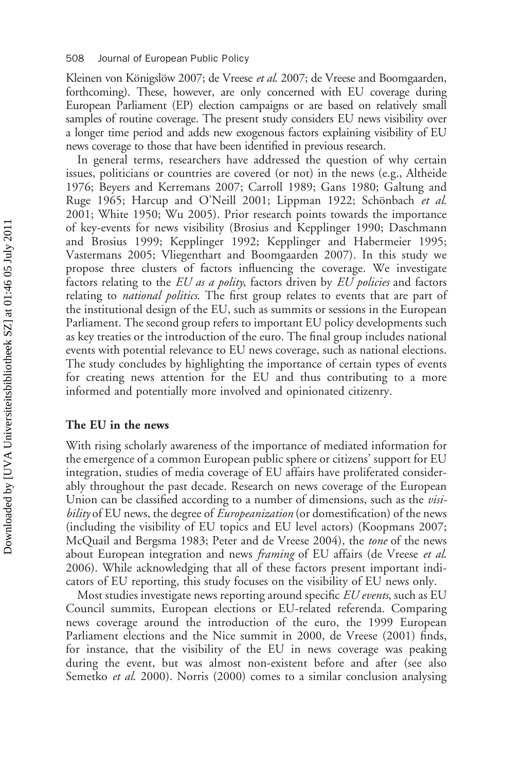Kleinen von Königslöw 2007; de Vreese et al. 2007; de Vreese and Boomgaarden, forthcoming). These, however, are only concerned with EU coverage during European Parliament (EP) election campaigns or are based on relatively small samples of routine coverage. The present study considers EU news visibility over a longer time period and adds new exogenous factors explaining visibility of EU news coverage to those that have been identified in previous research.

In general terms, researchers have addressed the question of why certain issues, politicians or countries are covered (or not) in the news (e.g., Altheide 1976; Beyers and Kerremans 2007; Carroll 1989; Gans 1980; Galtung and Ruge 1965; Harcup and O'Neill 2001; Lippman 1922; Schönbach et al. 2001; White 1950; Wu 2005). Prior research points towards the importance of key-events for news visibility (Brosius and Kepplinger 1990; Daschmann and Brosius 1999; Kepplinger 1992; Kepplinger and Habermeier 1995; Vastermans 2005; Vliegenthart and Boomgaarden 2007). In this study we propose three clusters of factors influencing the coverage. We investigate factors relating to the EU as a polity, factors driven by EU policies and factors relating to *national politics*. The first group relates to events that are part of the institutional design of the EU, such as summits or sessions in the European Parliament. The second group refers to important EU policy developments such as key treaties or the introduction of the euro. The final group includes national events with potential relevance to EU news coverage, such as national elections. The study concludes by highlighting the importance of certain types of events for creating news attention for the EU and thus contributing to a more informed and potentially more involved and opinionated citizenry.

#### The EU in the news

With rising scholarly awareness of the importance of mediated information for the emergence of a common European public sphere or citizens' support for EU integration, studies of media coverage of EU affairs have proliferated considerably throughout the past decade. Research on news coverage of the European Union can be classified according to a number of dimensions, such as the *visi*bility of EU news, the degree of *Europeanization* (or domestification) of the news (including the visibility of EU topics and EU level actors) (Koopmans 2007; McQuail and Bergsma 1983; Peter and de Vreese 2004), the tone of the news about European integration and news *framing* of EU affairs (de Vreese et al. 2006). While acknowledging that all of these factors present important indicators of EU reporting, this study focuses on the visibility of EU news only.

Most studies investigate news reporting around specific *EU events*, such as EU Council summits, European elections or EU-related referenda. Comparing news coverage around the introduction of the euro, the 1999 European Parliament elections and the Nice summit in 2000, de Vreese (2001) finds, for instance, that the visibility of the EU in news coverage was peaking during the event, but was almost non-existent before and after (see also Semetko *et al.* 2000). Norris (2000) comes to a similar conclusion analysing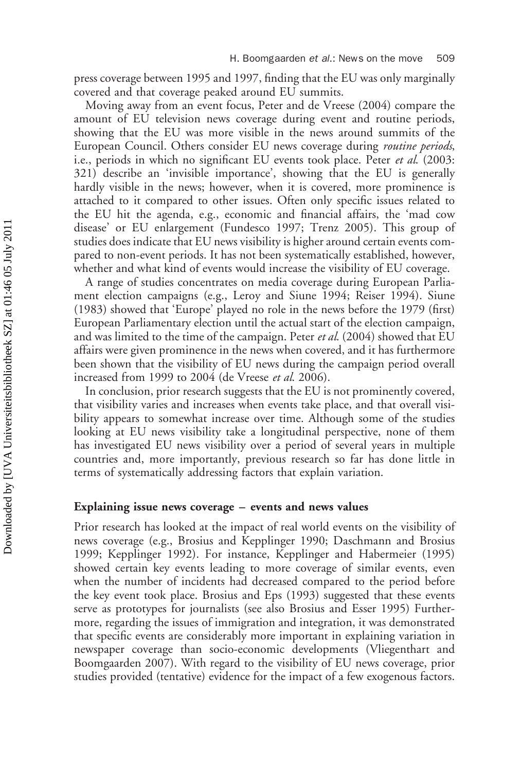press coverage between 1995 and 1997, finding that the EU was only marginally covered and that coverage peaked around EU summits.

Moving away from an event focus, Peter and de Vreese (2004) compare the amount of EU television news coverage during event and routine periods, showing that the EU was more visible in the news around summits of the European Council. Others consider EU news coverage during routine periods, i.e., periods in which no significant EU events took place. Peter et al. (2003: 321) describe an 'invisible importance', showing that the EU is generally hardly visible in the news; however, when it is covered, more prominence is attached to it compared to other issues. Often only specific issues related to the EU hit the agenda, e.g., economic and financial affairs, the 'mad cow disease' or EU enlargement (Fundesco 1997; Trenz 2005). This group of studies does indicate that EU news visibility is higher around certain events compared to non-event periods. It has not been systematically established, however, whether and what kind of events would increase the visibility of EU coverage.

A range of studies concentrates on media coverage during European Parliament election campaigns (e.g., Leroy and Siune 1994; Reiser 1994). Siune (1983) showed that 'Europe' played no role in the news before the 1979 (first) European Parliamentary election until the actual start of the election campaign, and was limited to the time of the campaign. Peter et al. (2004) showed that EU affairs were given prominence in the news when covered, and it has furthermore been shown that the visibility of EU news during the campaign period overall increased from 1999 to 2004 (de Vreese et al. 2006).

In conclusion, prior research suggests that the EU is not prominently covered, that visibility varies and increases when events take place, and that overall visibility appears to somewhat increase over time. Although some of the studies looking at EU news visibility take a longitudinal perspective, none of them has investigated EU news visibility over a period of several years in multiple countries and, more importantly, previous research so far has done little in terms of systematically addressing factors that explain variation.

#### Explaining issue news coverage – events and news values

Prior research has looked at the impact of real world events on the visibility of news coverage (e.g., Brosius and Kepplinger 1990; Daschmann and Brosius 1999; Kepplinger 1992). For instance, Kepplinger and Habermeier (1995) showed certain key events leading to more coverage of similar events, even when the number of incidents had decreased compared to the period before the key event took place. Brosius and Eps (1993) suggested that these events serve as prototypes for journalists (see also Brosius and Esser 1995) Furthermore, regarding the issues of immigration and integration, it was demonstrated that specific events are considerably more important in explaining variation in newspaper coverage than socio-economic developments (Vliegenthart and Boomgaarden 2007). With regard to the visibility of EU news coverage, prior studies provided (tentative) evidence for the impact of a few exogenous factors.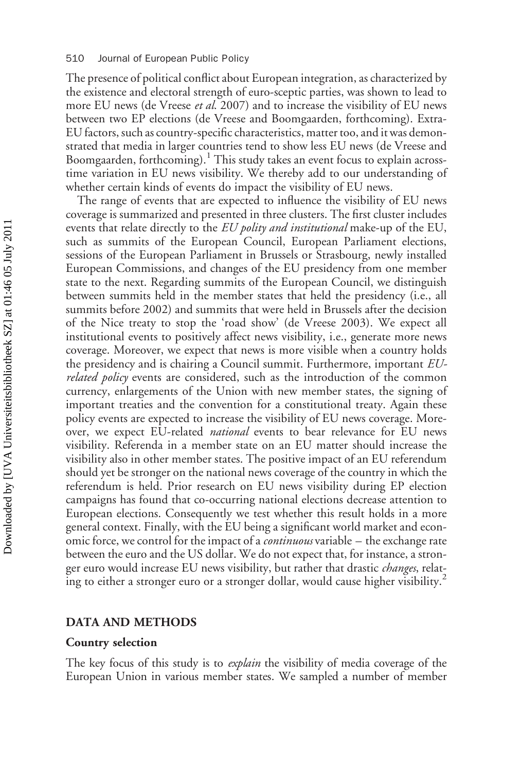The presence of political conflict about European integration, as characterized by the existence and electoral strength of euro-sceptic parties, was shown to lead to more EU news (de Vreese et al. 2007) and to increase the visibility of EU news between two EP elections (de Vreese and Boomgaarden, forthcoming). Extra-EU factors, such as country-specific characteristics, matter too, and it was demonstrated that media in larger countries tend to show less EU news (de Vreese and Boomgaarden, forthcoming).<sup>1</sup> This study takes an event focus to explain acrosstime variation in EU news visibility. We thereby add to our understanding of whether certain kinds of events do impact the visibility of EU news.

The range of events that are expected to influence the visibility of EU news coverage is summarized and presented in three clusters. The first cluster includes events that relate directly to the *EU polity and institutional* make-up of the EU, such as summits of the European Council, European Parliament elections, sessions of the European Parliament in Brussels or Strasbourg, newly installed European Commissions, and changes of the EU presidency from one member state to the next. Regarding summits of the European Council, we distinguish between summits held in the member states that held the presidency (i.e., all summits before 2002) and summits that were held in Brussels after the decision of the Nice treaty to stop the 'road show' (de Vreese 2003). We expect all institutional events to positively affect news visibility, i.e., generate more news coverage. Moreover, we expect that news is more visible when a country holds the presidency and is chairing a Council summit. Furthermore, important EU*related policy* events are considered, such as the introduction of the common currency, enlargements of the Union with new member states, the signing of important treaties and the convention for a constitutional treaty. Again these policy events are expected to increase the visibility of EU news coverage. Moreover, we expect EU-related *national* events to bear relevance for EU news visibility. Referenda in a member state on an EU matter should increase the visibility also in other member states. The positive impact of an EU referendum should yet be stronger on the national news coverage of the country in which the referendum is held. Prior research on EU news visibility during EP election campaigns has found that co-occurring national elections decrease attention to European elections. Consequently we test whether this result holds in a more general context. Finally, with the EU being a significant world market and economic force, we control for the impact of a *continuous* variable – the exchange rate between the euro and the US dollar. We do not expect that, for instance, a stronger euro would increase EU news visibility, but rather that drastic *changes*, relating to either a stronger euro or a stronger dollar, would cause higher visibility.<sup>2</sup>

#### DATA AND METHODS

#### Country selection

The key focus of this study is to *explain* the visibility of media coverage of the European Union in various member states. We sampled a number of member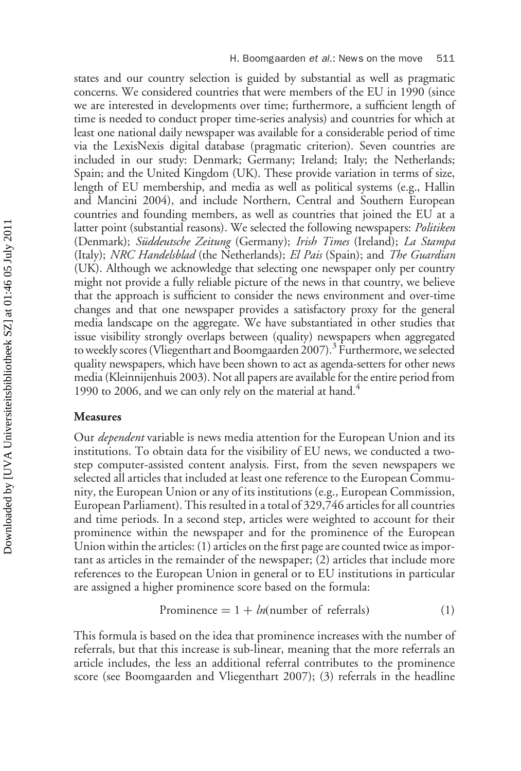states and our country selection is guided by substantial as well as pragmatic concerns. We considered countries that were members of the EU in 1990 (since we are interested in developments over time; furthermore, a sufficient length of time is needed to conduct proper time-series analysis) and countries for which at least one national daily newspaper was available for a considerable period of time via the LexisNexis digital database (pragmatic criterion). Seven countries are included in our study: Denmark; Germany; Ireland; Italy; the Netherlands; Spain; and the United Kingdom (UK). These provide variation in terms of size, length of EU membership, and media as well as political systems (e.g., Hallin and Mancini 2004), and include Northern, Central and Southern European countries and founding members, as well as countries that joined the EU at a latter point (substantial reasons). We selected the following newspapers: *Politiken* (Denmark); Süddeutsche Zeitung (Germany); Irish Times (Ireland); La Stampa (Italy); NRC Handelsblad (the Netherlands); El Pais (Spain); and The Guardian (UK). Although we acknowledge that selecting one newspaper only per country might not provide a fully reliable picture of the news in that country, we believe that the approach is sufficient to consider the news environment and over-time changes and that one newspaper provides a satisfactory proxy for the general media landscape on the aggregate. We have substantiated in other studies that issue visibility strongly overlaps between (quality) newspapers when aggregated to weekly scores (Vliegenthart and Boomgaarden 2007).<sup>3</sup> Furthermore, we selected quality newspapers, which have been shown to act as agenda-setters for other news media (Kleinnijenhuis 2003). Not all papers are available for the entire period from 1990 to 2006, and we can only rely on the material at hand.<sup>4</sup>

#### Measures

Our *dependent* variable is news media attention for the European Union and its institutions. To obtain data for the visibility of EU news, we conducted a twostep computer-assisted content analysis. First, from the seven newspapers we selected all articles that included at least one reference to the European Community, the European Union or any of its institutions (e.g., European Commission, European Parliament). This resulted in a total of 329,746 articles for all countries and time periods. In a second step, articles were weighted to account for their prominence within the newspaper and for the prominence of the European Union within the articles: (1) articles on the first page are counted twice as important as articles in the remainder of the newspaper; (2) articles that include more references to the European Union in general or to EU institutions in particular are assigned a higher prominence score based on the formula:

$$
Prominence = 1 + ln(number of referrals)
$$
\n(1)

This formula is based on the idea that prominence increases with the number of referrals, but that this increase is sub-linear, meaning that the more referrals an article includes, the less an additional referral contributes to the prominence score (see Boomgaarden and Vliegenthart 2007); (3) referrals in the headline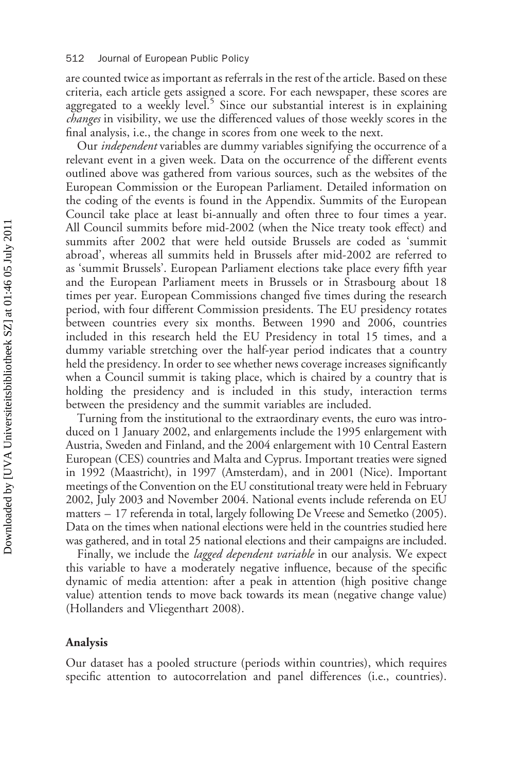are counted twice as important as referrals in the rest of the article. Based on these criteria, each article gets assigned a score. For each newspaper, these scores are aggregated to a weekly level.<sup>5</sup> Since our substantial interest is in explaining changes in visibility, we use the differenced values of those weekly scores in the final analysis, i.e., the change in scores from one week to the next.

Our independent variables are dummy variables signifying the occurrence of a relevant event in a given week. Data on the occurrence of the different events outlined above was gathered from various sources, such as the websites of the European Commission or the European Parliament. Detailed information on the coding of the events is found in the Appendix. Summits of the European Council take place at least bi-annually and often three to four times a year. All Council summits before mid-2002 (when the Nice treaty took effect) and summits after 2002 that were held outside Brussels are coded as 'summit abroad', whereas all summits held in Brussels after mid-2002 are referred to as 'summit Brussels'. European Parliament elections take place every fifth year and the European Parliament meets in Brussels or in Strasbourg about 18 times per year. European Commissions changed five times during the research period, with four different Commission presidents. The EU presidency rotates between countries every six months. Between 1990 and 2006, countries included in this research held the EU Presidency in total 15 times, and a dummy variable stretching over the half-year period indicates that a country held the presidency. In order to see whether news coverage increases significantly when a Council summit is taking place, which is chaired by a country that is holding the presidency and is included in this study, interaction terms between the presidency and the summit variables are included.

Turning from the institutional to the extraordinary events, the euro was introduced on 1 January 2002, and enlargements include the 1995 enlargement with Austria, Sweden and Finland, and the 2004 enlargement with 10 Central Eastern European (CES) countries and Malta and Cyprus. Important treaties were signed in 1992 (Maastricht), in 1997 (Amsterdam), and in 2001 (Nice). Important meetings of the Convention on the EU constitutional treaty were held in February 2002, July 2003 and November 2004. National events include referenda on EU matters – 17 referenda in total, largely following De Vreese and Semetko (2005). Data on the times when national elections were held in the countries studied here was gathered, and in total 25 national elections and their campaigns are included.

Finally, we include the *lagged dependent variable* in our analysis. We expect this variable to have a moderately negative influence, because of the specific dynamic of media attention: after a peak in attention (high positive change value) attention tends to move back towards its mean (negative change value) (Hollanders and Vliegenthart 2008).

#### Analysis

Our dataset has a pooled structure (periods within countries), which requires specific attention to autocorrelation and panel differences (i.e., countries).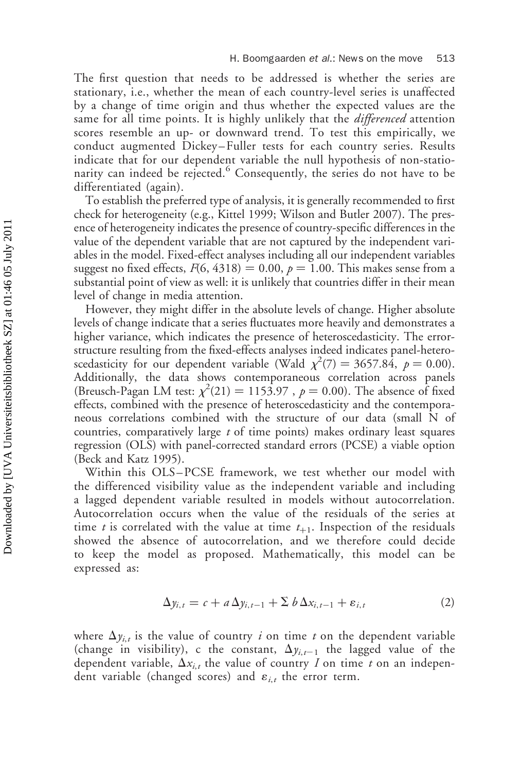The first question that needs to be addressed is whether the series are stationary, i.e., whether the mean of each country-level series is unaffected by a change of time origin and thus whether the expected values are the same for all time points. It is highly unlikely that the *differenced* attention scores resemble an up- or downward trend. To test this empirically, we conduct augmented Dickey-Fuller tests for each country series. Results indicate that for our dependent variable the null hypothesis of non-stationarity can indeed be rejected.<sup>6</sup> Consequently, the series do not have to be differentiated (again).

To establish the preferred type of analysis, it is generally recommended to first check for heterogeneity (e.g., Kittel 1999; Wilson and Butler 2007). The presence of heterogeneity indicates the presence of country-specific differences in the value of the dependent variable that are not captured by the independent variables in the model. Fixed-effect analyses including all our independent variables suggest no fixed effects,  $F(6, 4318) = 0.00$ ,  $p = 1.00$ . This makes sense from a substantial point of view as well: it is unlikely that countries differ in their mean level of change in media attention.

However, they might differ in the absolute levels of change. Higher absolute levels of change indicate that a series fluctuates more heavily and demonstrates a higher variance, which indicates the presence of heteroscedasticity. The errorstructure resulting from the fixed-effects analyses indeed indicates panel-heteroscedasticity for our dependent variable (Wald  $\chi^2(7) = 3657.8\dot{4}$ ,  $p = 0.00$ ). Additionally, the data shows contemporaneous correlation across panels (Breusch-Pagan LM test:  $\chi^2(21) = 1153.97$  ,  $p = 0.00$ ). The absence of fixed effects, combined with the presence of heteroscedasticity and the contemporaneous correlations combined with the structure of our data (small N of countries, comparatively large  $t$  of time points) makes ordinary least squares regression (OLS) with panel-corrected standard errors (PCSE) a viable option (Beck and Katz 1995).

Within this OLS –PCSE framework, we test whether our model with the differenced visibility value as the independent variable and including a lagged dependent variable resulted in models without autocorrelation. Autocorrelation occurs when the value of the residuals of the series at time t is correlated with the value at time  $t_{+1}$ . Inspection of the residuals showed the absence of autocorrelation, and we therefore could decide to keep the model as proposed. Mathematically, this model can be expressed as:

$$
\Delta y_{i,t} = c + a \Delta y_{i,t-1} + \Sigma b \Delta x_{i,t-1} + \varepsilon_{i,t}
$$
 (2)

where  $\Delta y_{i,t}$  is the value of country i on time t on the dependent variable (change in visibility), c the constant,  $\Delta y_{i,t-1}$  the lagged value of the dependent variable,  $\Delta x_{i,t}$  the value of country I on time t on an independent variable (changed scores) and  $\varepsilon_{i,t}$  the error term.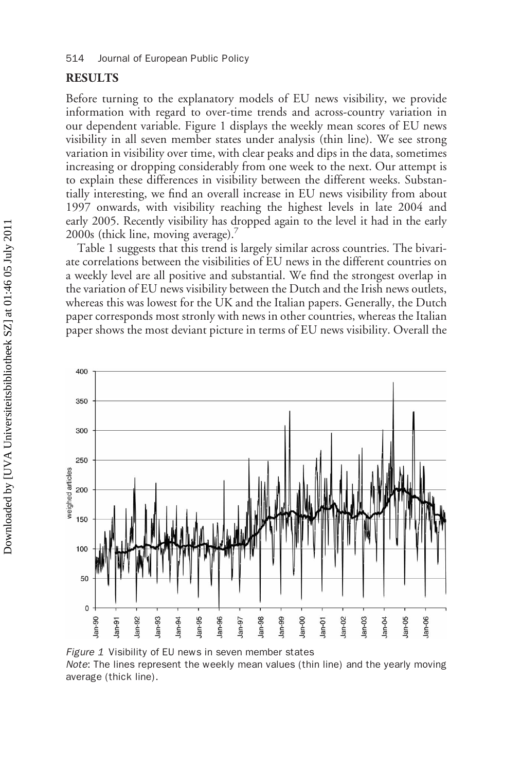#### RESULTS

Before turning to the explanatory models of EU news visibility, we provide information with regard to over-time trends and across-country variation in our dependent variable. Figure 1 displays the weekly mean scores of EU news visibility in all seven member states under analysis (thin line). We see strong variation in visibility over time, with clear peaks and dips in the data, sometimes increasing or dropping considerably from one week to the next. Our attempt is to explain these differences in visibility between the different weeks. Substantially interesting, we find an overall increase in EU news visibility from about 1997 onwards, with visibility reaching the highest levels in late 2004 and early 2005. Recently visibility has dropped again to the level it had in the early  $2000s$  (thick line, moving average).<sup>7</sup>

Table 1 suggests that this trend is largely similar across countries. The bivariate correlations between the visibilities of EU news in the different countries on a weekly level are all positive and substantial. We find the strongest overlap in the variation of EU news visibility between the Dutch and the Irish news outlets, whereas this was lowest for the UK and the Italian papers. Generally, the Dutch paper corresponds most stronly with news in other countries, whereas the Italian paper shows the most deviant picture in terms of EU news visibility. Overall the



Figure 1 Visibility of EU news in seven member states Note: The lines represent the weekly mean values (thin line) and the yearly moving average (thick line).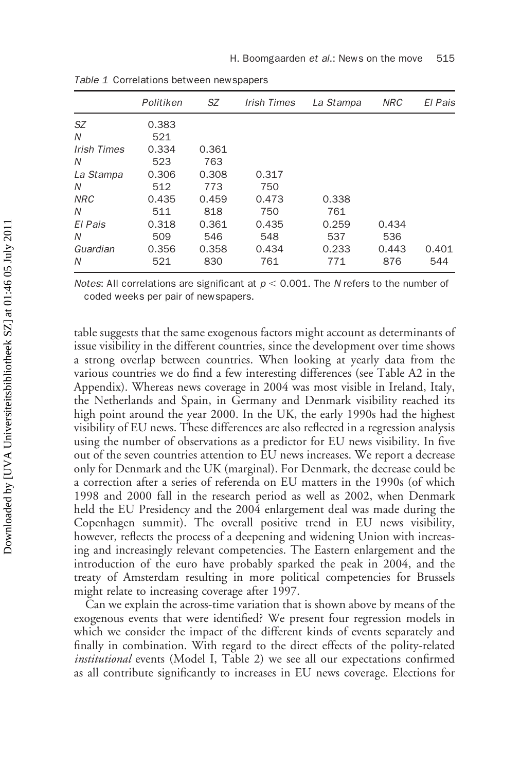|                    | Politiken | SZ    | <b>Irish Times</b> | La Stampa | <b>NRC</b> | El Pais |
|--------------------|-----------|-------|--------------------|-----------|------------|---------|
| SZ                 | 0.383     |       |                    |           |            |         |
| N                  | 521       |       |                    |           |            |         |
| <b>Irish Times</b> | 0.334     | 0.361 |                    |           |            |         |
| N                  | 523       | 763   |                    |           |            |         |
| La Stampa          | 0.306     | 0.308 | 0.317              |           |            |         |
| N                  | 512       | 773   | 750                |           |            |         |
| <b>NRC</b>         | 0.435     | 0.459 | 0.473              | 0.338     |            |         |
| N                  | 511       | 818   | 750                | 761       |            |         |
| El Pais            | 0.318     | 0.361 | 0.435              | 0.259     | 0.434      |         |
| N                  | 509       | 546   | 548                | 537       | 536        |         |
| Guardian           | 0.356     | 0.358 | 0.434              | 0.233     | 0.443      | 0.401   |
| N                  | 521       | 830   | 761                | 771       | 876        | 544     |

Table 1 Correlations between newspapers

*Notes:* All correlations are significant at  $p < 0.001$ . The N refers to the number of coded weeks per pair of newspapers.

table suggests that the same exogenous factors might account as determinants of issue visibility in the different countries, since the development over time shows a strong overlap between countries. When looking at yearly data from the various countries we do find a few interesting differences (see Table A2 in the Appendix). Whereas news coverage in 2004 was most visible in Ireland, Italy, the Netherlands and Spain, in Germany and Denmark visibility reached its high point around the year 2000. In the UK, the early 1990s had the highest visibility of EU news. These differences are also reflected in a regression analysis using the number of observations as a predictor for EU news visibility. In five out of the seven countries attention to EU news increases. We report a decrease only for Denmark and the UK (marginal). For Denmark, the decrease could be a correction after a series of referenda on EU matters in the 1990s (of which 1998 and 2000 fall in the research period as well as 2002, when Denmark held the EU Presidency and the 2004 enlargement deal was made during the Copenhagen summit). The overall positive trend in EU news visibility, however, reflects the process of a deepening and widening Union with increasing and increasingly relevant competencies. The Eastern enlargement and the introduction of the euro have probably sparked the peak in 2004, and the treaty of Amsterdam resulting in more political competencies for Brussels might relate to increasing coverage after 1997.

Can we explain the across-time variation that is shown above by means of the exogenous events that were identified? We present four regression models in which we consider the impact of the different kinds of events separately and finally in combination. With regard to the direct effects of the polity-related *institutional* events (Model I, Table 2) we see all our expectations confirmed as all contribute significantly to increases in EU news coverage. Elections for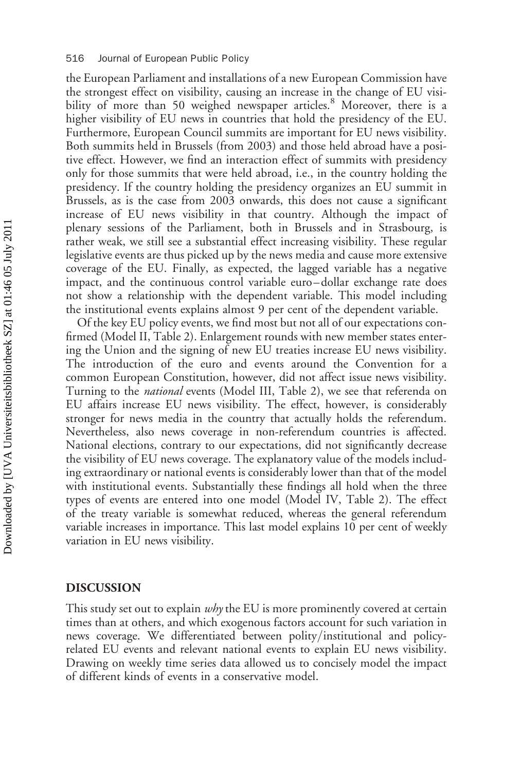the European Parliament and installations of a new European Commission have the strongest effect on visibility, causing an increase in the change of EU visibility of more than 50 weighed newspaper articles.<sup>8</sup> Moreover, there is a higher visibility of EU news in countries that hold the presidency of the EU. Furthermore, European Council summits are important for EU news visibility. Both summits held in Brussels (from 2003) and those held abroad have a positive effect. However, we find an interaction effect of summits with presidency only for those summits that were held abroad, i.e., in the country holding the presidency. If the country holding the presidency organizes an EU summit in Brussels, as is the case from 2003 onwards, this does not cause a significant increase of EU news visibility in that country. Although the impact of plenary sessions of the Parliament, both in Brussels and in Strasbourg, is rather weak, we still see a substantial effect increasing visibility. These regular legislative events are thus picked up by the news media and cause more extensive coverage of the EU. Finally, as expected, the lagged variable has a negative impact, and the continuous control variable euro – dollar exchange rate does not show a relationship with the dependent variable. This model including the institutional events explains almost 9 per cent of the dependent variable.

Of the key EU policy events, we find most but not all of our expectations confirmed (Model II, Table 2). Enlargement rounds with new member states entering the Union and the signing of new EU treaties increase EU news visibility. The introduction of the euro and events around the Convention for a common European Constitution, however, did not affect issue news visibility. Turning to the *national* events (Model III, Table 2), we see that referenda on EU affairs increase EU news visibility. The effect, however, is considerably stronger for news media in the country that actually holds the referendum. Nevertheless, also news coverage in non-referendum countries is affected. National elections, contrary to our expectations, did not significantly decrease the visibility of EU news coverage. The explanatory value of the models including extraordinary or national events is considerably lower than that of the model with institutional events. Substantially these findings all hold when the three types of events are entered into one model (Model IV, Table 2). The effect of the treaty variable is somewhat reduced, whereas the general referendum variable increases in importance. This last model explains 10 per cent of weekly variation in EU news visibility.

#### DISCUSSION

This study set out to explain why the EU is more prominently covered at certain times than at others, and which exogenous factors account for such variation in news coverage. We differentiated between polity/institutional and policyrelated EU events and relevant national events to explain EU news visibility. Drawing on weekly time series data allowed us to concisely model the impact of different kinds of events in a conservative model.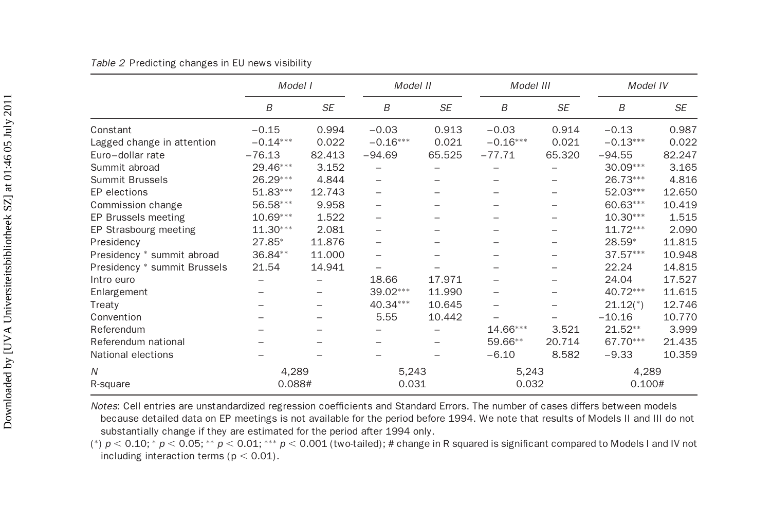|                              | Model I    |           |                   | Model II |                          | Model III                |            | Model IV  |  |
|------------------------------|------------|-----------|-------------------|----------|--------------------------|--------------------------|------------|-----------|--|
|                              | B          | <b>SE</b> | B                 | SE       | B                        | SE                       | B          | <b>SE</b> |  |
| Constant                     | $-0.15$    | 0.994     | $-0.03$           | 0.913    | $-0.03$                  | 0.914                    | $-0.13$    | 0.987     |  |
| Lagged change in attention   | $-0.14***$ | 0.022     | $-0.16***$        | 0.021    | $-0.16***$               | 0.021                    | $-0.13***$ | 0.022     |  |
| Euro-dollar rate             | $-76.13$   | 82.413    | $-94.69$          | 65.525   | $-77.71$                 | 65.320                   | $-94.55$   | 82.247    |  |
| Summit abroad                | 29.46***   | 3.152     |                   |          |                          |                          | 30.09***   | 3.165     |  |
| <b>Summit Brussels</b>       | 26.29 ***  | 4.844     |                   |          | -                        | -                        | $26.73***$ | 4.816     |  |
| EP elections                 | 51.83***   | 12.743    | $\qquad \qquad -$ |          | -                        | -                        | 52.03***   | 12.650    |  |
| Commission change            | 56.58***   | 9.958     |                   |          | -                        | -                        | 60.63***   | 10.419    |  |
| EP Brussels meeting          | $10.69***$ | 1.522     |                   |          |                          | -                        | $10.30***$ | 1.515     |  |
| EP Strasbourg meeting        | $11.30***$ | 2.081     |                   |          |                          |                          | $11.72***$ | 2.090     |  |
| Presidency                   | 27.85*     | 11.876    |                   |          |                          |                          | 28.59*     | 11.815    |  |
| Presidency * summit abroad   | 36.84**    | 11.000    |                   |          |                          | $\overline{\phantom{0}}$ | $37.57***$ | 10.948    |  |
| Presidency * summit Brussels | 21.54      | 14.941    |                   |          |                          |                          | 22.24      | 14.815    |  |
| Intro euro                   |            |           | 18.66             | 17.971   |                          | $\overline{\phantom{0}}$ | 24.04      | 17.527    |  |
| Enlargement                  |            |           | 39.02***          | 11.990   |                          |                          | 40.72***   | 11.615    |  |
| Treaty                       |            | -         | 40.34***          | 10.645   | $\overline{\phantom{0}}$ | -                        | $21.12(*)$ | 12.746    |  |
| Convention                   |            |           | 5.55              | 10.442   |                          |                          | $-10.16$   | 10.770    |  |
| Referendum                   |            | -         |                   |          | 14.66***                 | 3.521                    | $21.52**$  | 3.999     |  |
| Referendum national          |            | -         |                   |          | 59.66**                  | 20.714                   | 67.70***   | 21.435    |  |
| National elections           |            |           |                   |          | $-6.10$                  | 8.582                    | $-9.33$    | 10.359    |  |
| N                            | 4,289      |           |                   | 5,243    |                          | 5,243                    |            | 4,289     |  |
| R-square                     | 0.088#     |           | 0.031             | 0.032    |                          |                          | 0.100#     |           |  |

Notes: Cell entries are unstandardized regression coefficients and Standard Errors. The number of cases differs between models because detailed data on EP meetings is not available for the period before 1994. We note that results of Models II and III do not substantially change if they are estimated for the period after 1994 only.

(\*)  $p < 0.10$ ; \*  $p < 0.05$ ; \*\*  $p < 0.01$ ; \*\*\*  $p < 0.001$  (two-tailed); # change in R squared is significant compared to Models I and IV not including interaction terms ( $p < 0.01$ ).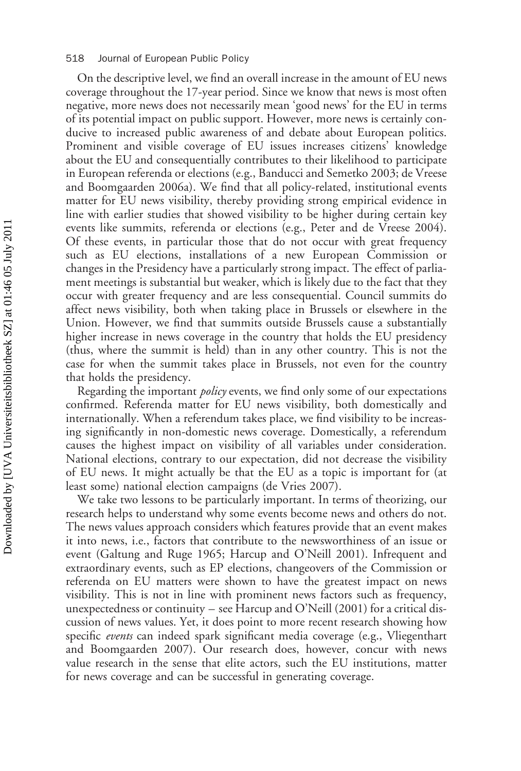#### 518 Journal of European Public Policy

On the descriptive level, we find an overall increase in the amount of EU news coverage throughout the 17-year period. Since we know that news is most often negative, more news does not necessarily mean 'good news' for the EU in terms of its potential impact on public support. However, more news is certainly conducive to increased public awareness of and debate about European politics. Prominent and visible coverage of EU issues increases citizens' knowledge about the EU and consequentially contributes to their likelihood to participate in European referenda or elections (e.g., Banducci and Semetko 2003; de Vreese and Boomgaarden 2006a). We find that all policy-related, institutional events matter for EU news visibility, thereby providing strong empirical evidence in line with earlier studies that showed visibility to be higher during certain key events like summits, referenda or elections (e.g., Peter and de Vreese 2004). Of these events, in particular those that do not occur with great frequency such as EU elections, installations of a new European Commission or changes in the Presidency have a particularly strong impact. The effect of parliament meetings is substantial but weaker, which is likely due to the fact that they occur with greater frequency and are less consequential. Council summits do affect news visibility, both when taking place in Brussels or elsewhere in the Union. However, we find that summits outside Brussels cause a substantially higher increase in news coverage in the country that holds the EU presidency (thus, where the summit is held) than in any other country. This is not the case for when the summit takes place in Brussels, not even for the country that holds the presidency.

Regarding the important *policy* events, we find only some of our expectations confirmed. Referenda matter for EU news visibility, both domestically and internationally. When a referendum takes place, we find visibility to be increasing significantly in non-domestic news coverage. Domestically, a referendum causes the highest impact on visibility of all variables under consideration. National elections, contrary to our expectation, did not decrease the visibility of EU news. It might actually be that the EU as a topic is important for (at least some) national election campaigns (de Vries 2007).

We take two lessons to be particularly important. In terms of theorizing, our research helps to understand why some events become news and others do not. The news values approach considers which features provide that an event makes it into news, i.e., factors that contribute to the newsworthiness of an issue or event (Galtung and Ruge 1965; Harcup and O'Neill 2001). Infrequent and extraordinary events, such as EP elections, changeovers of the Commission or referenda on EU matters were shown to have the greatest impact on news visibility. This is not in line with prominent news factors such as frequency, unexpectedness or continuity – see Harcup and O'Neill (2001) for a critical discussion of news values. Yet, it does point to more recent research showing how specific events can indeed spark significant media coverage (e.g., Vliegenthart and Boomgaarden 2007). Our research does, however, concur with news value research in the sense that elite actors, such the EU institutions, matter for news coverage and can be successful in generating coverage.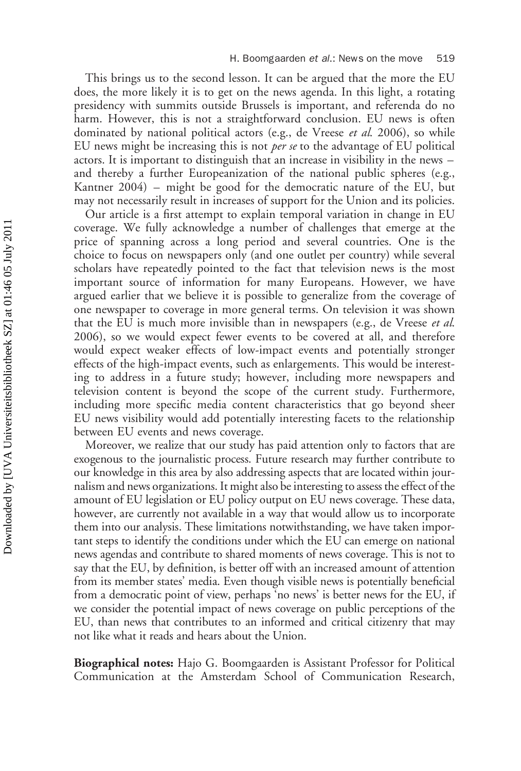This brings us to the second lesson. It can be argued that the more the EU does, the more likely it is to get on the news agenda. In this light, a rotating presidency with summits outside Brussels is important, and referenda do no harm. However, this is not a straightforward conclusion. EU news is often dominated by national political actors (e.g., de Vreese et al. 2006), so while EU news might be increasing this is not *per se* to the advantage of EU political actors. It is important to distinguish that an increase in visibility in the news – and thereby a further Europeanization of the national public spheres (e.g., Kantner 2004) – might be good for the democratic nature of the EU, but may not necessarily result in increases of support for the Union and its policies.

Our article is a first attempt to explain temporal variation in change in EU coverage. We fully acknowledge a number of challenges that emerge at the price of spanning across a long period and several countries. One is the choice to focus on newspapers only (and one outlet per country) while several scholars have repeatedly pointed to the fact that television news is the most important source of information for many Europeans. However, we have argued earlier that we believe it is possible to generalize from the coverage of one newspaper to coverage in more general terms. On television it was shown that the EU is much more invisible than in newspapers (e.g., de Vreese *et al.*) 2006), so we would expect fewer events to be covered at all, and therefore would expect weaker effects of low-impact events and potentially stronger effects of the high-impact events, such as enlargements. This would be interesting to address in a future study; however, including more newspapers and television content is beyond the scope of the current study. Furthermore, including more specific media content characteristics that go beyond sheer EU news visibility would add potentially interesting facets to the relationship between EU events and news coverage.

Moreover, we realize that our study has paid attention only to factors that are exogenous to the journalistic process. Future research may further contribute to our knowledge in this area by also addressing aspects that are located within journalism and news organizations. It might also be interesting to assess the effect of the amount of EU legislation or EU policy output on EU news coverage. These data, however, are currently not available in a way that would allow us to incorporate them into our analysis. These limitations notwithstanding, we have taken important steps to identify the conditions under which the EU can emerge on national news agendas and contribute to shared moments of news coverage. This is not to say that the EU, by definition, is better off with an increased amount of attention from its member states' media. Even though visible news is potentially beneficial from a democratic point of view, perhaps 'no news' is better news for the EU, if we consider the potential impact of news coverage on public perceptions of the EU, than news that contributes to an informed and critical citizenry that may not like what it reads and hears about the Union.

Biographical notes: Hajo G. Boomgaarden is Assistant Professor for Political Communication at the Amsterdam School of Communication Research,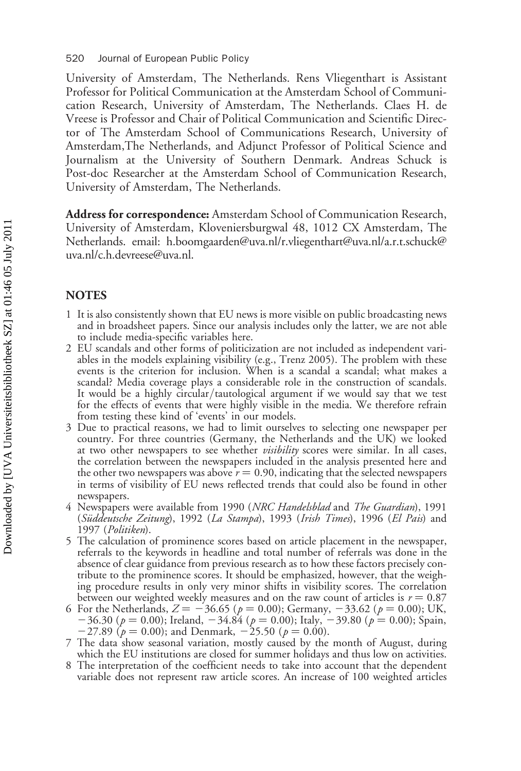University of Amsterdam, The Netherlands. Rens Vliegenthart is Assistant Professor for Political Communication at the Amsterdam School of Communication Research, University of Amsterdam, The Netherlands. Claes H. de Vreese is Professor and Chair of Political Communication and Scientific Director of The Amsterdam School of Communications Research, University of Amsterdam,The Netherlands, and Adjunct Professor of Political Science and Journalism at the University of Southern Denmark. Andreas Schuck is Post-doc Researcher at the Amsterdam School of Communication Research, University of Amsterdam, The Netherlands.

Address for correspondence: Amsterdam School of Communication Research, University of Amsterdam, Kloveniersburgwal 48, 1012 CX Amsterdam, The Netherlands. email: h.boomgaarden@uva.nl/r.vliegenthart@uva.nl/a.r.t.schuck@ uva.nl/c.h.devreese@uva.nl.

#### **NOTES**

- 1 It is also consistently shown that EU news is more visible on public broadcasting news and in broadsheet papers. Since our analysis includes only the latter, we are not able to include media-specific variables here.
- 2 EU scandals and other forms of politicization are not included as independent variables in the models explaining visibility (e.g., Trenz 2005). The problem with these events is the criterion for inclusion. When is a scandal a scandal; what makes a scandal? Media coverage plays a considerable role in the construction of scandals. It would be a highly circular/tautological argument if we would say that we test for the effects of events that were highly visible in the media. We therefore refrain from testing these kind of 'events' in our models.
- 3 Due to practical reasons, we had to limit ourselves to selecting one newspaper per country. For three countries (Germany, the Netherlands and the UK) we looked at two other newspapers to see whether *visibility* scores were similar. In all cases, the correlation between the newspapers included in the analysis presented here and the other two newspapers was above  $r = 0.90$ , indicating that the selected newspapers in terms of visibility of EU news reflected trends that could also be found in other newspapers.
- 4 Newspapers were available from 1990 (NRC Handelsblad and The Guardian), 1991 (Süddeutsche Zeitung), 1992 (La Stampa), 1993 (Irish Times), 1996 (El Pais) and 1997 (Politiken).
- 5 The calculation of prominence scores based on article placement in the newspaper, referrals to the keywords in headline and total number of referrals was done in the absence of clear guidance from previous research as to how these factors precisely contribute to the prominence scores. It should be emphasized, however, that the weighing procedure results in only very minor shifts in visibility scores. The correlation between our weighted weekly measures and on the raw count of articles is  $r = 0.87$
- 6 For the Netherlands,  $Z = -36.65$  ( $p = 0.00$ ); Germany,  $-33.62$  ( $p = 0.00$ ); UK,  $-36.30$  ( $p = 0.00$ ); Ireland,  $-34.84$  ( $p = 0.00$ ); Italy,  $-39.80$  ( $p = 0.00$ ); Spain,  $-27.89$  ( $p = 0.00$ ); and Denmark,  $-25.50$  ( $p = 0.00$ ).
- 7 The data show seasonal variation, mostly caused by the month of August, during which the EU institutions are closed for summer holidays and thus low on activities.
- 8 The interpretation of the coefficient needs to take into account that the dependent variable does not represent raw article scores. An increase of 100 weighted articles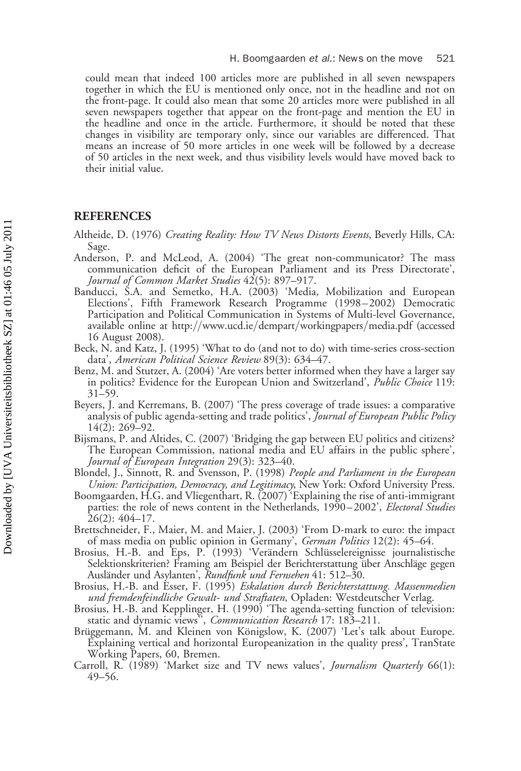could mean that indeed 100 articles more are published in all seven newspapers together in which the EU is mentioned only once, not in the headline and not on the front-page. It could also mean that some 20 articles more were published in all seven newspapers together that appear on the front-page and mention the EU in the headline and once in the article. Furthermore, it should be noted that these changes in visibility are temporary only, since our variables are differenced. That means an increase of 50 more articles in one week will be followed by a decrease of 50 articles in the next week, and thus visibility levels would have moved back to their initial value.

#### **REFERENCES**

- Altheide, D. (1976) Creating Reality: How TV News Distorts Events, Beverly Hills, CA: Sage.
- Anderson, P. and McLeod, A. (2004) 'The great non-communicator? The mass communication deficit of the European Parliament and its Press Directorate', Journal of Common Market Studies 42(5): 897–917.
- Banducci, S.A. and Semetko, H.A. (2003) 'Media, Mobilization and European Elections', Fifth Framework Research Programme (1998 – 2002) Democratic Participation and Political Communication in Systems of Multi-level Governance, available online at [http:](http://www.ucd.ie/dempart/workingpapers/media.pdf)//www.ucd.ie/dempart/[workingpapers](http://www.ucd.ie/dempart/workingpapers/media.pdf)/media.pdf (accessed 16 August 2008).
- Beck, N. and Katz, J. (1995) 'What to do (and not to do) with time-series cross-section data', American Political Science Review 89(3): 634–47.
- Benz, M. and Stutzer, A. (2004) 'Are voters better informed when they have a larger say in politics? Evidence for the European Union and Switzerland', Public Choice 119: 31–59.
- Beyers, J. and Kerremans, B. (2007) 'The press coverage of trade issues: a comparative analysis of public agenda-setting and trade politics', Journal of European Public Policy 14(2): 269–92.
- Bijsmans, P. and Altides, C. (2007) 'Bridging the gap between EU politics and citizens? The European Commission, national media and EU affairs in the public sphere', Journal of European Integration 29(3): 323–40.
- Blondel, J., Sinnott, R. and Svensson, P. (1998) People and Parliament in the European Union: Participation, Democracy, and Legitimacy, New York: Oxford University Press.
- Boomgaarden, H.G. and Vliegenthart, R. (2007) 'Explaining the rise of anti-immigrant parties: the role of news content in the Netherlands, 1990–2002', *Electoral Studies*  $26(2): 404 - 17.$
- Brettschneider, F., Maier, M. and Maier, J. (2003) 'From D-mark to euro: the impact of mass media on public opinion in Germany', German Politics 12(2): 45–64.
- Brosius, H.-B. and Eps, P. (1993) 'Verändern Schlüsselereignisse journalistische Selektionskriterien? Framing am Beispiel der Berichterstattung über Anschläge gegen Ausländer und Asylanten', Rundfunk und Fernsehen 41: 512–30.
- Brosius, H.-B. and Esser, F. (1995) Eskalation durch Berichterstattung. Massenmedien und fremdenfeindliche Gewalt- und Straftaten, Opladen: Westdeutscher Verlag.
- Brosius, H.-B. and Kepplinger, H. (1990) 'The agenda-setting function of television: static and dynamic views", Communication Research 17: 183-211.
- Brüggemann, M. and Kleinen von Königslow, K. (2007) 'Let's talk about Europe. Explaining vertical and horizontal Europeanization in the quality press', TranState Working Papers, 60, Bremen.
- Carroll, R. (1989) 'Market size and TV news values', *Journalism Quarterly* 66(1): 49–56.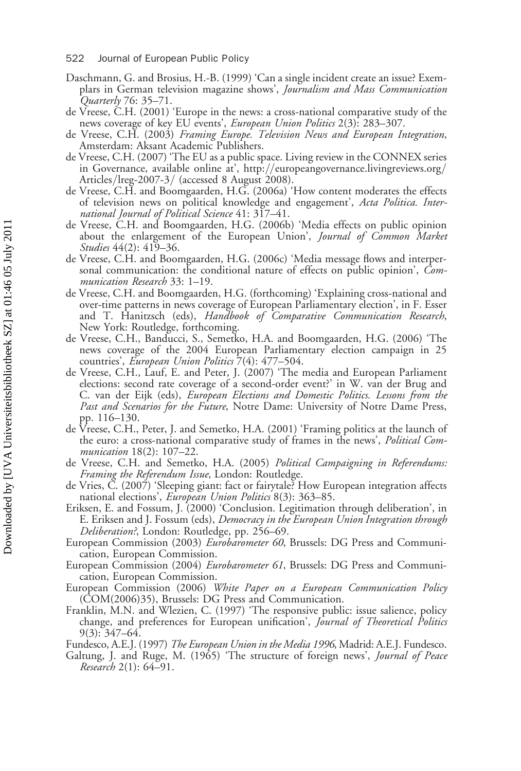- Daschmann, G. and Brosius, H.-B. (1999) 'Can a single incident create an issue? Exemplars in German television magazine shows', Journalism and Mass Communication Quarterly 76: 35–71.
- de Vreese, C.H. (2001) 'Europe in the news: a cross-national comparative study of the news coverage of key EU events', *European Union Politics* 2(3): 283–307.
- de Vreese, C.H. (2003) Framing Europe. Television News and European Integration, Amsterdam: Aksant Academic Publishers.
- de Vreese, C.H. (2007) 'The EU as a public space. Living review in the CONNEX series in Governance, available online at', [http:](http://europeangovernance.livingreviews.org/Articles/lreg-2007-3/)//[europeangovernance.livingreviews.org](http://europeangovernance.livingreviews.org/Articles/lreg-2007-3/)/ Articles/[lreg-2007-3](http://europeangovernance.livingreviews.org/Articles/lreg-2007-3/)/ (accessed 8 August 2008).
- de Vreese, C.H. and Boomgaarden, H.G. (2006a) 'How content moderates the effects of television news on political knowledge and engagement', Acta Politica. International Journal of Political Science 41: 317–41.
- de Vreese, C.H. and Boomgaarden, H.G. (2006b) 'Media effects on public opinion about the enlargement of the European Union', Journal of Common Market Studies 44(2): 419–36.
- de Vreese, C.H. and Boomgaarden, H.G. (2006c) 'Media message flows and interpersonal communication: the conditional nature of effects on public opinion', Communication Research 33: 1–19.
- de Vreese, C.H. and Boomgaarden, H.G. (forthcoming) 'Explaining cross-national and over-time patterns in news coverage of European Parliamentary election', in F. Esser and T. Hanitzsch (eds), Handbook of Comparative Communication Research, New York: Routledge, forthcoming.
- de Vreese, C.H., Banducci, S., Semetko, H.A. and Boomgaarden, H.G. (2006) 'The news coverage of the 2004 European Parliamentary election campaign in 25 countries', European Union Politics 7(4): 477–504.
- de Vreese, C.H., Lauf, E. and Peter, J. (2007) 'The media and European Parliament elections: second rate coverage of a second-order event?' in W. van der Brug and C. van der Eijk (eds), European Elections and Domestic Politics. Lessons from the Past and Scenarios for the Future, Notre Dame: University of Notre Dame Press, pp. 116–130.
- de Vreese, C.H., Peter, J. and Semetko, H.A. (2001) 'Framing politics at the launch of the euro: a cross-national comparative study of frames in the news', Political Communication 18(2): 107–22.
- de Vreese, C.H. and Semetko, H.A. (2005) Political Campaigning in Referendums: Framing the Referendum Issue, London: Routledge.
- de Vries, C. (2007) 'Sleeping giant: fact or fairytale? How European integration affects national elections', *European Union Politics* 8(3): 363–85.
- Eriksen, E. and Fossum, J. (2000) 'Conclusion. Legitimation through deliberation', in E. Eriksen and J. Fossum (eds), Democracy in the European Union Integration through Deliberation?, London: Routledge, pp. 256–69.
- European Commission (2003) Eurobarometer 60, Brussels: DG Press and Communication, European Commission.
- European Commission (2004) Eurobarometer 61, Brussels: DG Press and Communication, European Commission.
- European Commission (2006) White Paper on a European Communication Policy (COM(2006)35), Brussels: DG Press and Communication.
- Franklin, M.N. and Wlezien, C. (1997) 'The responsive public: issue salience, policy change, and preferences for European unification', Journal of Theoretical Politics 9(3): 347–64.
- Fundesco, A.E.J. (1997) The European Union in the Media 1996, Madrid: A.E.J. Fundesco.
- Galtung, J. and Ruge, M. (1965) 'The structure of foreign news', Journal of Peace Research 2(1): 64–91.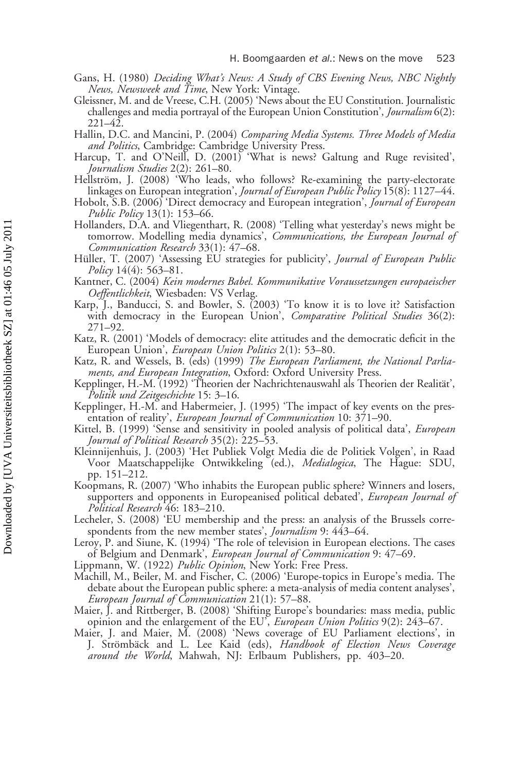- Gans, H. (1980) Deciding What's News: A Study of CBS Evening News, NBC Nightly News, Newsweek and Time, New York: Vintage.
- Gleissner, M. and de Vreese, C.H. (2005) 'News about the EU Constitution. Journalistic challenges and media portrayal of the European Union Constitution', *Journalism* 6(2):  $221 - 42.$
- Hallin, D.C. and Mancini, P. (2004) Comparing Media Systems. Three Models of Media and Politics, Cambridge: Cambridge University Press.
- Harcup, T. and O'Neill, D. (2001) 'What is news? Galtung and Ruge revisited', Journalism Studies 2(2): 261–80.
- Hellström, J. (2008) 'Who leads, who follows? Re-examining the party-electorate linkages on European integration', *Journal of European Public Policy* 15(8): 1127–44.
- Hobolt, S.B. (2006) 'Direct democracy and European integration', Journal of European Public Policy 13(1): 153–66.
- Hollanders, D.A. and Vliegenthart, R. (2008) 'Telling what yesterday's news might be tomorrow. Modelling media dynamics', Communications, the European Journal of Communication Research 33(1): 47–68.
- Hüller, T. (2007) 'Assessing EU strategies for publicity', *Journal of European Public* Policy 14(4): 563–81.
- Kantner, C. (2004) Kein modernes Babel. Kommunikative Voraussetzungen europaeischer Oeffentlichkeit, Wiesbaden: VS Verlag.
- Karp, J., Banducci, S. and Bowler, S. (2003) 'To know it is to love it? Satisfaction with democracy in the European Union', Comparative Political Studies 36(2): 271–92.
- Katz, R. (2001) 'Models of democracy: elite attitudes and the democratic deficit in the European Union', European Union Politics 2(1): 53–80.
- Katz, R. and Wessels, B. (eds) (1999) The European Parliament, the National Parliaments, and European Integration, Oxford: Oxford University Press.
- Kepplinger, H.-M. (1992) 'Theorien der Nachrichtenauswahl als Theorien der Realität', Politik und Zeitgeschichte 15: 3–16.
- Kepplinger, H.-M. and Habermeier, J. (1995) 'The impact of key events on the presentation of reality', *European Journal of Communication* 10: 371–90.
- Kittel, B. (1999) 'Sense and sensitivity in pooled analysis of political data', European Journal of Political Research 35(2): 225–53.
- Kleinnijenhuis, J. (2003) 'Het Publiek Volgt Media die de Politiek Volgen', in Raad Voor Maatschappelijke Ontwikkeling (ed.), Medialogica, The Hague: SDU, pp. 151–212.
- Koopmans, R. (2007) 'Who inhabits the European public sphere? Winners and losers, supporters and opponents in Europeanised political debated', *European Journal of* Political Research 46: 183–210.
- Lecheler, S. (2008) 'EU membership and the press: an analysis of the Brussels correspondents from the new member states', *Journalism* 9: 443–64.
- Leroy, P. and Siune, K. (1994) 'The role of television in European elections. The cases of Belgium and Denmark', European Journal of Communication 9: 47–69.
- Lippmann, W. (1922) Public Opinion, New York: Free Press.
- Machill, M., Beiler, M. and Fischer, C. (2006) 'Europe-topics in Europe's media. The debate about the European public sphere: a meta-analysis of media content analyses', European Journal of Communication 21(1): 57–88.
- Maier, J. and Rittberger, B. (2008) 'Shifting Europe's boundaries: mass media, public opinion and the enlargement of the EU', European Union Politics 9(2): 243-67.
- Maier, J. and Maier, M. (2008) 'News coverage of EU Parliament elections', in J. Strömbäck and L. Lee Kaid (eds), Handbook of Election News Coverage around the World, Mahwah, NJ: Erlbaum Publishers, pp. 403–20.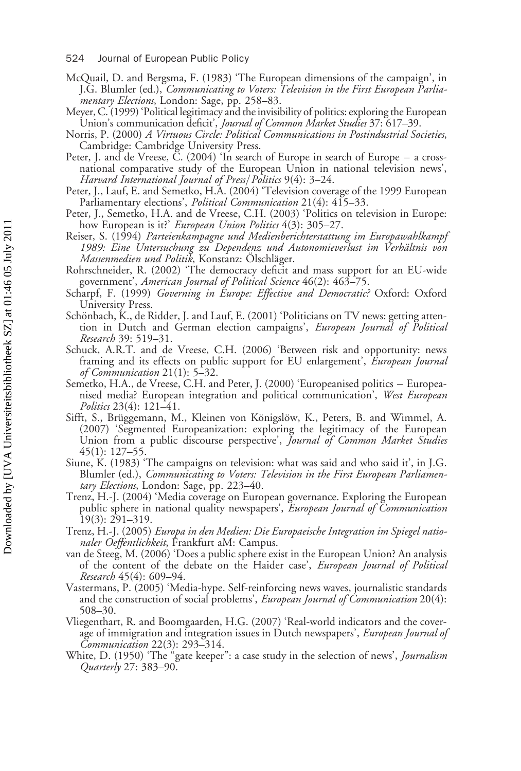- McQuail, D. and Bergsma, F. (1983) 'The European dimensions of the campaign', in J.G. Blumler (ed.), Communicating to Voters: Television in the First European Parliamentary Elections, London: Sage, pp. 258-83.
- Meyer, C. (1999) 'Political legitimacy and the invisibility of politics: exploring the European Union's communication deficit', Journal of Common Market Studies 37: 617-39.
- Norris, P. (2000) A Virtuous Circle: Political Communications in Postindustrial Societies, Cambridge: Cambridge University Press.
- Peter, J. and de Vreese, C. (2004) 'In search of Europe in search of Europe a crossnational comparative study of the European Union in national television news', Harvard International Journal of Press/Politics 9(4): 3–24.
- Peter, J., Lauf, E. and Semetko, H.A. (2004) 'Television coverage of the 1999 European Parliamentary elections', *Political Communication* 21(4): 415–33.
- Peter, J., Semetko, H.A. and de Vreese, C.H. (2003) 'Politics on television in Europe: how European is it?' European Union Politics 4(3): 305-27.
- Reiser, S. (1994) Parteienkampagne und Medienberichterstattung im Europawahlkampf 1989: Eine Untersuchung zu Dependenz und Autonomieverlust im Verhältnis von Massenmedien und Politik, Konstanz: Olschläger.
- Rohrschneider, R. (2002) 'The democracy deficit and mass support for an EU-wide government', American Journal of Political Science 46(2): 463–75.
- Scharpf, F. (1999) Governing in Europe: Effective and Democratic? Oxford: Oxford University Press.
- Schönbach, K., de Ridder, J. and Lauf, E. (2001) 'Politicians on TV news: getting attention in Dutch and German election campaigns', European Journal of Political Research 39: 519–31.
- Schuck, A.R.T. and de Vreese, C.H. (2006) 'Between risk and opportunity: news framing and its effects on public support for EU enlargement', European Journal of Communication 21(1): 5–32.
- Semetko, H.A., de Vreese, C.H. and Peter, J. (2000) 'Europeanised politics Europeanised media? European integration and political communication', West European Politics 23(4): 121–41.
- Sifft, S., Brüggemann, M., Kleinen von Königslöw, K., Peters, B. and Wimmel, A. (2007) 'Segmented Europeanization: exploring the legitimacy of the European Union from a public discourse perspective', Journal of Common Market Studies 45(1): 127–55.
- Siune, K. (1983) 'The campaigns on television: what was said and who said it', in J.G. Blumler (ed.), Communicating to Voters: Television in the First European Parliamentary Elections, London: Sage, pp. 223-40.
- Trenz, H.-J. (2004) 'Media coverage on European governance. Exploring the European public sphere in national quality newspapers', European Journal of Communication 19(3): 291–319.
- Trenz, H.-J. (2005) Europa in den Medien: Die Europaeische Integration im Spiegel nationaler Oeffentlichkeit, Frankfurt aM: Campus.
- van de Steeg, M. (2006) 'Does a public sphere exist in the European Union? An analysis of the content of the debate on the Haider case', European Journal of Political Research 45(4): 609–94.
- Vastermans, P. (2005) 'Media-hype. Self-reinforcing news waves, journalistic standards and the construction of social problems', *European Journal of Communication* 20(4): 508–30.
- Vliegenthart, R. and Boomgaarden, H.G. (2007) 'Real-world indicators and the coverage of immigration and integration issues in Dutch newspapers', European Journal of Communication 22(3): 293–314.
- White, D. (1950) 'The "gate keeper": a case study in the selection of news', *Journalism* Quarterly 27: 383–90.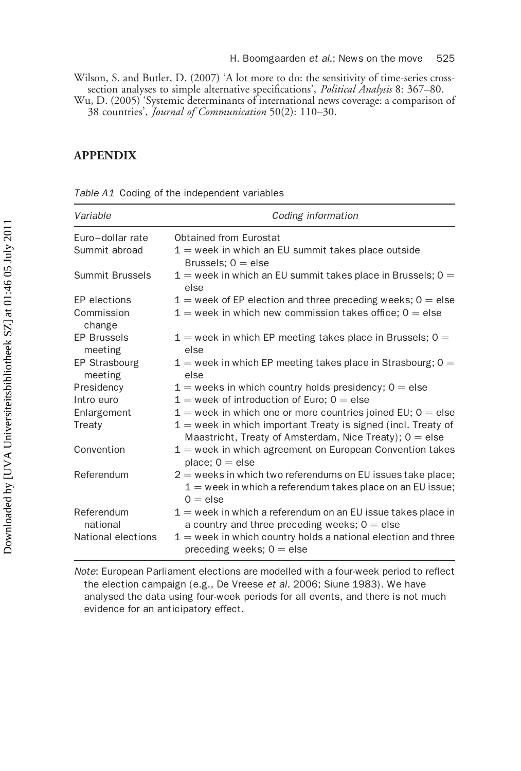Wilson, S. and Butler, D. (2007) 'A lot more to do: the sensitivity of time-series crosssection analyses to simple alternative specifications', *Political Analysis* 8: 367-80.

Wu, D. (2005) 'Systemic determinants of international news coverage: a comparison of 38 countries', Journal of Communication 50(2): 110–30.

#### APPENDIX

|  |  |  | Table A1 Coding of the independent variables |  |
|--|--|--|----------------------------------------------|--|
|--|--|--|----------------------------------------------|--|

| Variable                      | Coding information                                                                                                                          |  |  |  |  |
|-------------------------------|---------------------------------------------------------------------------------------------------------------------------------------------|--|--|--|--|
| Euro-dollar rate              | Obtained from Eurostat                                                                                                                      |  |  |  |  |
| Summit abroad                 | $1 =$ week in which an EU summit takes place outside<br>Brussels: $0 =$ else                                                                |  |  |  |  |
| <b>Summit Brussels</b>        | $1$ = week in which an EU summit takes place in Brussels; $0 =$<br>else                                                                     |  |  |  |  |
| EP elections                  | $1$ = week of EP election and three preceding weeks; 0 = else                                                                               |  |  |  |  |
| Commission<br>change          | $1$ = week in which new commission takes office; 0 = else                                                                                   |  |  |  |  |
| <b>EP Brussels</b><br>meeting | $1$ = week in which EP meeting takes place in Brussels; 0 =<br>else                                                                         |  |  |  |  |
| EP Strasbourg<br>meeting      | $1$ = week in which EP meeting takes place in Strasbourg; 0 =<br>else                                                                       |  |  |  |  |
| Presidency                    | $1 =$ weeks in which country holds presidency; $0 =$ else                                                                                   |  |  |  |  |
| Intro euro                    | $1 =$ week of introduction of Euro; 0 = else                                                                                                |  |  |  |  |
| Enlargement                   | $1$ = week in which one or more countries joined EU; 0 = else                                                                               |  |  |  |  |
| Treaty                        | $1 =$ week in which important Treaty is signed (incl. Treaty of<br>Maastricht, Treaty of Amsterdam, Nice Treaty); $0 =$ else                |  |  |  |  |
| Convention                    | $1$ = week in which agreement on European Convention takes<br>place; $0 =$ else                                                             |  |  |  |  |
| Referendum                    | $2 =$ weeks in which two referendums on EU issues take place;<br>$1 =$ week in which a referendum takes place on an EU issue;<br>$0 =$ else |  |  |  |  |
| Referendum<br>national        | $1 =$ week in which a referendum on an EU issue takes place in<br>a country and three preceding weeks; $0 =$ else                           |  |  |  |  |
| National elections            | $1 =$ week in which country holds a national election and three<br>preceding weeks; $0 =$ else                                              |  |  |  |  |

Note: European Parliament elections are modelled with a four-week period to reflect the election campaign (e.g., De Vreese et al. 2006; Siune 1983). We have analysed the data using four-week periods for all events, and there is not much evidence for an anticipatory effect.